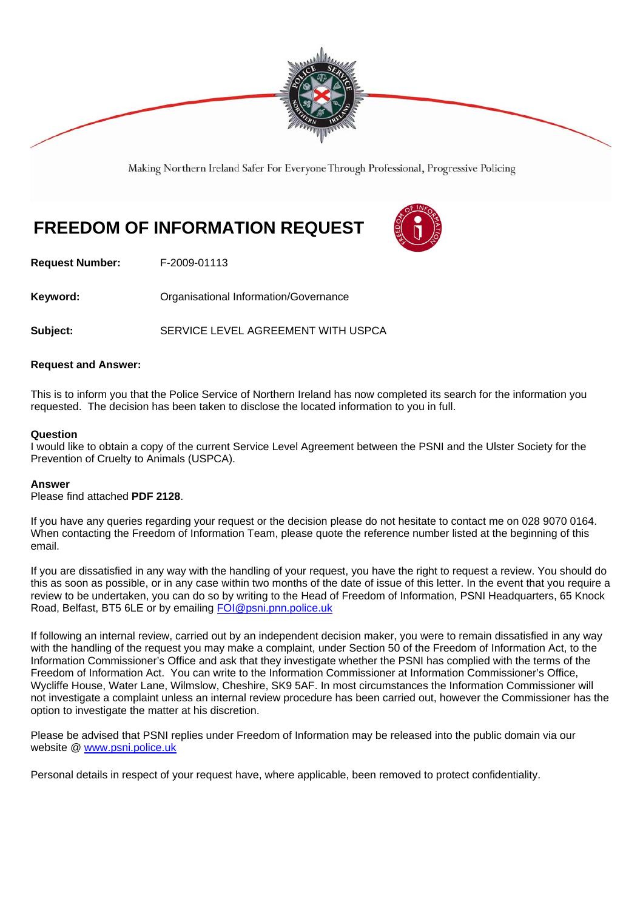

Making Northern Ireland Safer For Everyone Through Professional, Progressive Policing

# **FREEDOM OF INFORMATION REQUEST**



**Request Number:** F-2009-01113

**Keyword: Communistry Communistional Information/Governance** 

Subject: SERVICE LEVEL AGREEMENT WITH USPCA

### **Request and Answer:**

This is to inform you that the Police Service of Northern Ireland has now completed its search for the information you requested. The decision has been taken to disclose the located information to you in full.

### **Question**

I would like to obtain a copy of the current Service Level Agreement between the PSNI and the Ulster Society for the Prevention of Cruelty to Animals (USPCA).

### **Answer**

Please find attached **PDF 2128**.

If you have any queries regarding your request or the decision please do not hesitate to contact me on 028 9070 0164. When contacting the Freedom of Information Team, please quote the reference number listed at the beginning of this email.

If you are dissatisfied in any way with the handling of your request, you have the right to request a review. You should do this as soon as possible, or in any case within two months of the date of issue of this letter. In the event that you require a review to be undertaken, you can do so by writing to the Head of Freedom of Information, PSNI Headquarters, 65 Knock Road, Belfast, BT5 6LE or by emailing FOI@psni.pnn.police.uk

If following an internal review, carried out by an independent decision maker, you were to remain dissatisfied in any way with the handling of the request you may make a complaint, under Section 50 of the Freedom of Information Act, to the Information Commissioner's Office and ask that they investigate whether the PSNI has complied with the terms of the Freedom of Information Act. You can write to the Information Commissioner at Information Commissioner's Office, Wycliffe House, Water Lane, Wilmslow, Cheshire, SK9 5AF. In most circumstances the Information Commissioner will not investigate a complaint unless an internal review procedure has been carried out, however the Commissioner has the option to investigate the matter at his discretion.

Please be advised that PSNI replies under Freedom of Information may be released into the public domain via our website @ www.psni.police.uk

Personal details in respect of your request have, where applicable, been removed to protect confidentiality.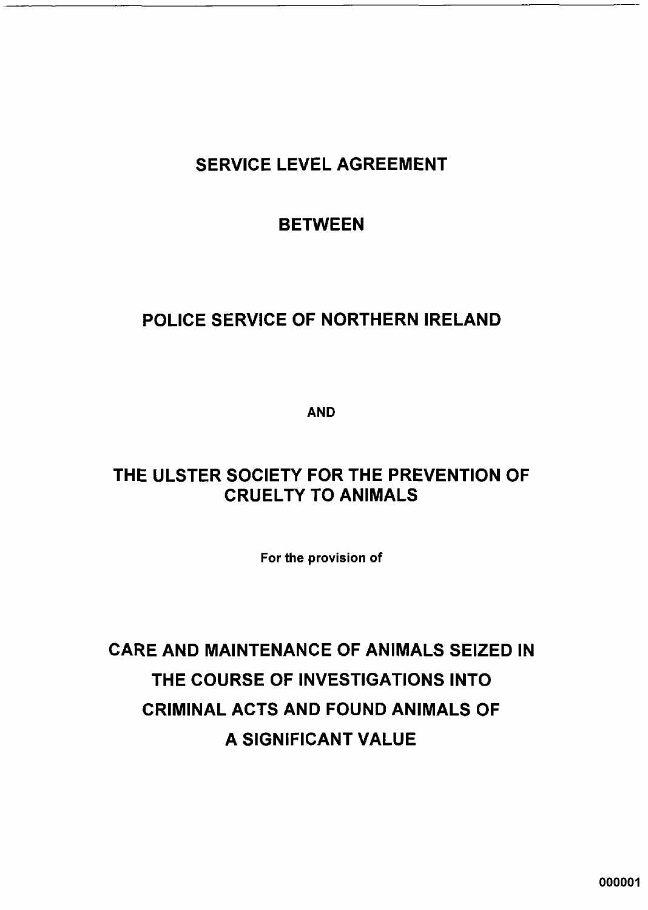## **SERVICE LEVEL AGREEMENT**

## **BETWEEN**

## POLICE SERVICE OF NORTHERN IRELAND

**AND** 

## THE ULSTER SOCIETY FOR THE PREVENTION OF **CRUELTY TO ANIMALS**

For the provision of

**CARE AND MAINTENANCE OF ANIMALS SEIZED IN** THE COURSE OF INVESTIGATIONS INTO **CRIMINAL ACTS AND FOUND ANIMALS OF** A SIGNIFICANT VALUE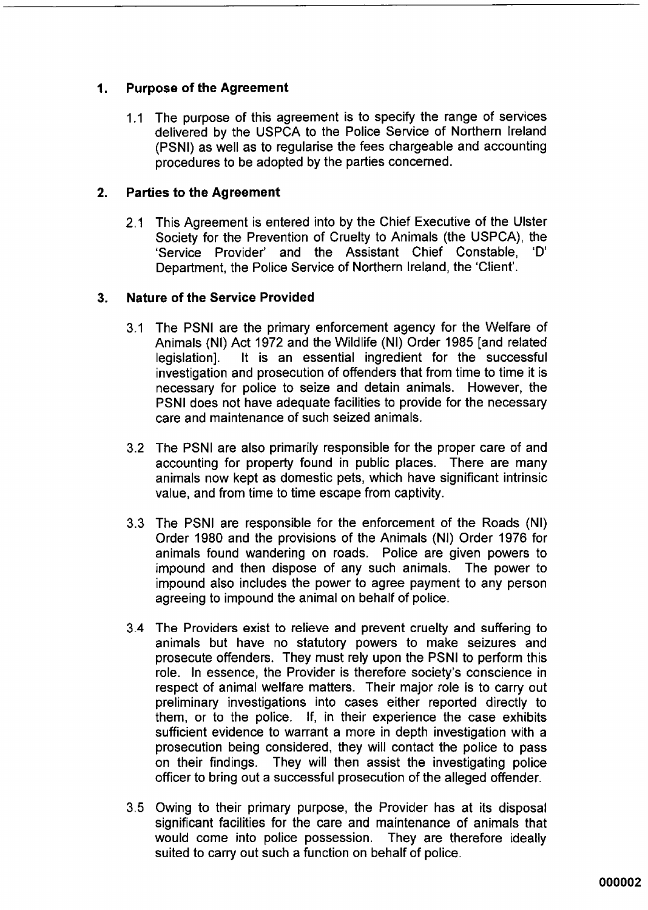#### $1<sub>1</sub>$ **Purpose of the Agreement**

1.1 The purpose of this agreement is to specify the range of services delivered by the USPCA to the Police Service of Northern Ireland (PSNI) as well as to regularise the fees chargeable and accounting procedures to be adopted by the parties concerned.

#### **Parties to the Agreement**  $2.$

2.1 This Agreement is entered into by the Chief Executive of the Ulster Society for the Prevention of Cruelty to Animals (the USPCA), the 'Service Provider' and the Assistant Chief Constable, 'D' Department, the Police Service of Northern Ireland, the 'Client'.

#### $\overline{\mathbf{3}}$ . **Nature of the Service Provided**

- 3.1 The PSNI are the primary enforcement agency for the Welfare of Animals (NI) Act 1972 and the Wildlife (NI) Order 1985 [and related It is an essential ingredient for the successful legislation]. investigation and prosecution of offenders that from time to time it is necessary for police to seize and detain animals. However, the PSNI does not have adequate facilities to provide for the necessary care and maintenance of such seized animals.
- 3.2 The PSNI are also primarily responsible for the proper care of and accounting for property found in public places. There are many animals now kept as domestic pets, which have significant intrinsic value, and from time to time escape from captivity.
- 3.3 The PSNI are responsible for the enforcement of the Roads (NI) Order 1980 and the provisions of the Animals (NI) Order 1976 for animals found wandering on roads. Police are given powers to impound and then dispose of any such animals. The power to impound also includes the power to agree payment to any person agreeing to impound the animal on behalf of police.
- 3.4 The Providers exist to relieve and prevent cruelty and suffering to animals but have no statutory powers to make seizures and prosecute offenders. They must rely upon the PSNI to perform this role. In essence, the Provider is therefore society's conscience in respect of animal welfare matters. Their major role is to carry out preliminary investigations into cases either reported directly to them, or to the police. If, in their experience the case exhibits sufficient evidence to warrant a more in depth investigation with a prosecution being considered, they will contact the police to pass on their findings. They will then assist the investigating police officer to bring out a successful prosecution of the alleged offender.
- 3.5 Owing to their primary purpose, the Provider has at its disposal significant facilities for the care and maintenance of animals that would come into police possession. They are therefore ideally suited to carry out such a function on behalf of police.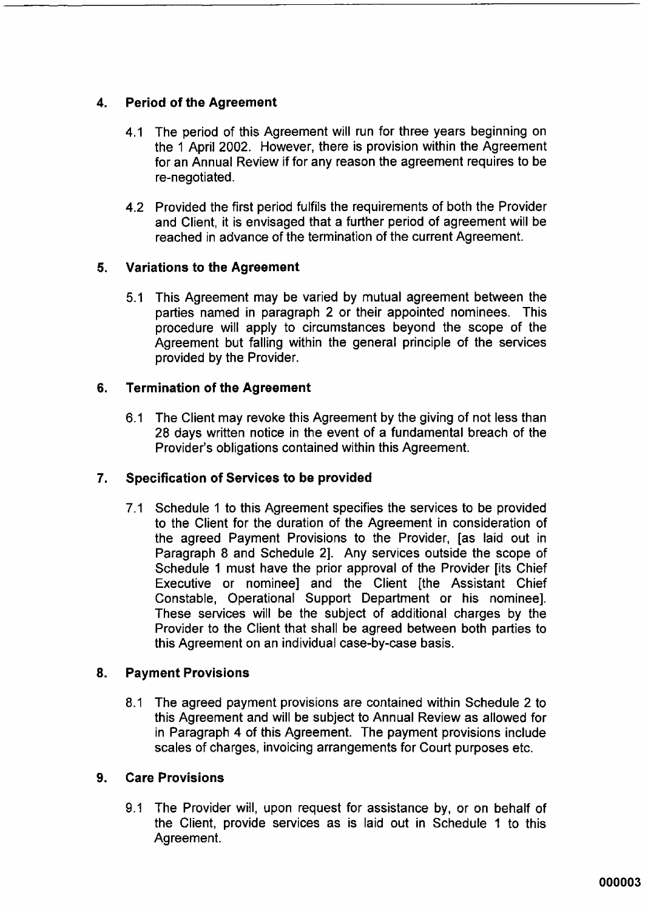### $\mathbf{A}$ **Period of the Agreement**

- The period of this Agreement will run for three years beginning on  $4.1$ the 1 April 2002. However, there is provision within the Agreement for an Annual Review if for any reason the agreement requires to be re-negotiated.
- 4.2 Provided the first period fulfils the requirements of both the Provider and Client, it is envisaged that a further period of agreement will be reached in advance of the termination of the current Agreement.

### 5. **Variations to the Agreement**

5.1 This Agreement may be varied by mutual agreement between the parties named in paragraph 2 or their appointed nominees. This procedure will apply to circumstances beyond the scope of the Agreement but falling within the general principle of the services provided by the Provider.

#### **Termination of the Agreement** 6.

6.1 The Client may revoke this Agreement by the giving of not less than 28 days written notice in the event of a fundamental breach of the Provider's obligations contained within this Agreement.

### Specification of Services to be provided  $7.$

Schedule 1 to this Agreement specifies the services to be provided  $7.1$ to the Client for the duration of the Agreement in consideration of the agreed Payment Provisions to the Provider, [as laid out in Paragraph 8 and Schedule 2]. Any services outside the scope of Schedule 1 must have the prior approval of the Provider lits Chief Executive or nominee] and the Client [the Assistant Chief Constable, Operational Support Department or his nominee]. These services will be the subject of additional charges by the Provider to the Client that shall be agreed between both parties to this Agreement on an individual case-by-case basis.

#### 8. **Payment Provisions**

The agreed payment provisions are contained within Schedule 2 to  $8.1$ this Agreement and will be subject to Annual Review as allowed for in Paragraph 4 of this Agreement. The payment provisions include scales of charges, invoicing arrangements for Court purposes etc.

#### **Care Provisions**  $9<sub>1</sub>$

9.1 The Provider will, upon request for assistance by, or on behalf of the Client, provide services as is laid out in Schedule 1 to this Agreement.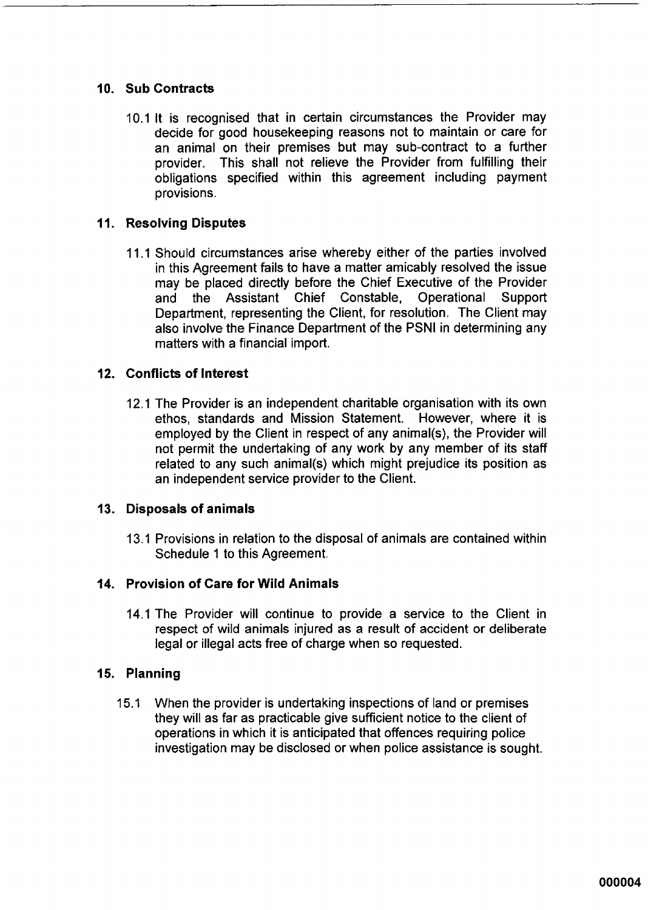### 10. Sub Contracts

10.1 It is recognised that in certain circumstances the Provider may decide for good housekeeping reasons not to maintain or care for an animal on their premises but may sub-contract to a further provider. This shall not relieve the Provider from fulfilling their obligations specified within this agreement including payment provisions.

### 11. Resolving Disputes

11.1 Should circumstances arise whereby either of the parties involved in this Agreement fails to have a matter amicably resolved the issue may be placed directly before the Chief Executive of the Provider and the Assistant Chief Constable, Operational Support Department, representing the Client, for resolution. The Client may also involve the Finance Department of the PSNI in determining any matters with a financial import.

### 12. Conflicts of Interest

12.1 The Provider is an independent charitable organisation with its own ethos, standards and Mission Statement. However, where it is employed by the Client in respect of any animal(s), the Provider will not permit the undertaking of any work by any member of its staff related to any such animal(s) which might prejudice its position as an independent service provider to the Client.

### 13. Disposals of animals

13.1 Provisions in relation to the disposal of animals are contained within Schedule 1 to this Agreement.

### 14. Provision of Care for Wild Animals

14.1 The Provider will continue to provide a service to the Client in respect of wild animals injured as a result of accident or deliberate legal or illegal acts free of charge when so requested.

### 15. Planning

 $15.1 -$ When the provider is undertaking inspections of land or premises they will as far as practicable give sufficient notice to the client of operations in which it is anticipated that offences requiring police investigation may be disclosed or when police assistance is sought.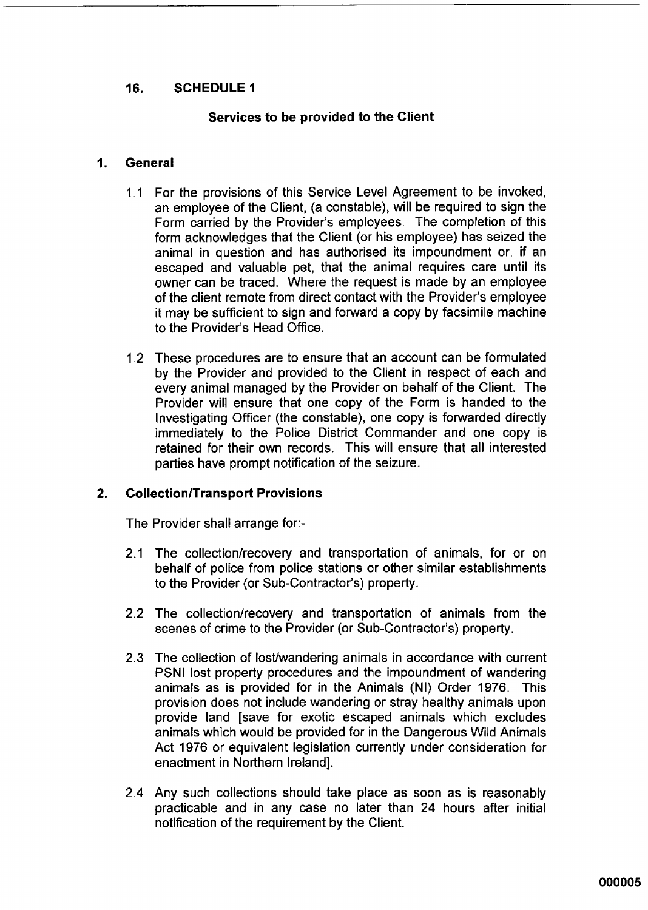### 16. **SCHEDULE 1**

### Services to be provided to the Client

#### General  $\mathbf{1}$

- 1.1 For the provisions of this Service Level Agreement to be invoked, an employee of the Client, (a constable), will be required to sign the Form carried by the Provider's employees. The completion of this form acknowledges that the Client (or his emplovee) has seized the animal in question and has authorised its impoundment or if an escaped and valuable pet, that the animal requires care until its owner can be traced. Where the request is made by an employee of the client remote from direct contact with the Provider's employee it may be sufficient to sign and forward a copy by facsimile machine to the Provider's Head Office.
- 1.2 These procedures are to ensure that an account can be formulated by the Provider and provided to the Client in respect of each and every animal managed by the Provider on behalf of the Client. The Provider will ensure that one copy of the Form is handed to the Investigating Officer (the constable), one copy is forwarded directly immediately to the Police District Commander and one copy is retained for their own records. This will ensure that all interested parties have prompt notification of the seizure.

#### $2<sub>1</sub>$ **Collection/Transport Provisions**

The Provider shall arrange for:-

- 2.1 The collection/recovery and transportation of animals, for or on behalf of police from police stations or other similar establishments to the Provider (or Sub-Contractor's) property.
- 2.2 The collection/recovery and transportation of animals from the scenes of crime to the Provider (or Sub-Contractor's) property.
- 2.3 The collection of lost/wandering animals in accordance with current PSNI lost property procedures and the impoundment of wandering animals as is provided for in the Animals (NI) Order 1976. This provision does not include wandering or stray healthy animals upon provide land [save for exotic escaped animals which excludes animals which would be provided for in the Dangerous Wild Animals Act 1976 or equivalent legislation currently under consideration for enactment in Northern Ireland].
- 2.4 Any such collections should take place as soon as is reasonably practicable and in any case no later than 24 hours after initial notification of the requirement by the Client.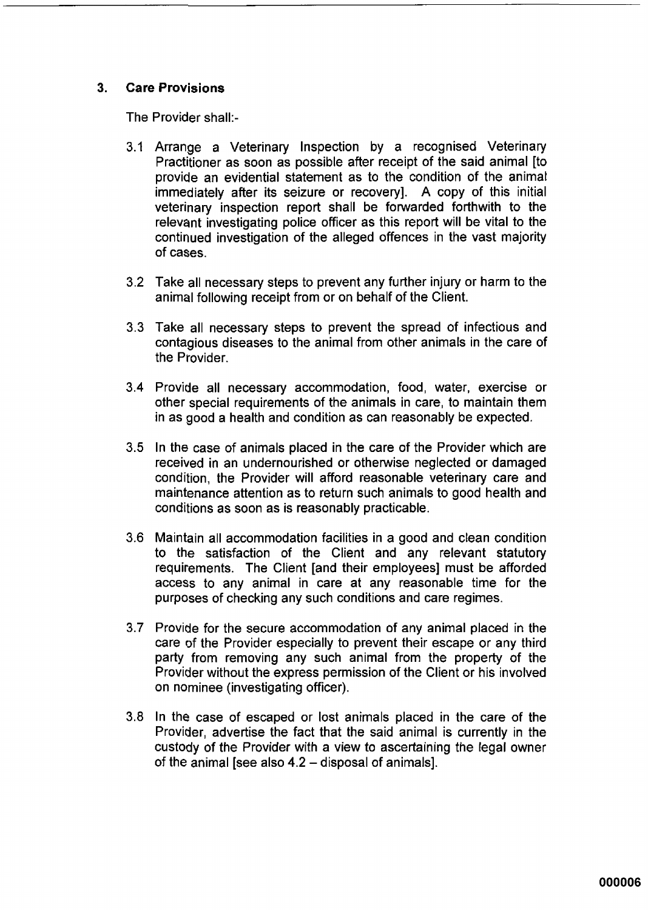#### $3<sub>1</sub>$ **Care Provisions**

The Provider shall:-

- 3.1 Arrange a Veterinary Inspection by a recognised Veterinary Practitioner as soon as possible after receipt of the said animal Ito provide an evidential statement as to the condition of the animal immediately after its seizure or recovery]. A copy of this initial veterinary inspection report shall be forwarded forthwith to the relevant investigating police officer as this report will be vital to the continued investigation of the alleged offences in the vast majority of cases.
- 3.2 Take all necessary steps to prevent any further injury or harm to the animal following receipt from or on behalf of the Client.
- 3.3 Take all necessary steps to prevent the spread of infectious and contagious diseases to the animal from other animals in the care of the Provider.
- 3.4 Provide all necessary accommodation, food, water, exercise or other special requirements of the animals in care, to maintain them in as good a health and condition as can reasonably be expected.
- 3.5 In the case of animals placed in the care of the Provider which are received in an undernourished or otherwise neglected or damaged condition, the Provider will afford reasonable veterinary care and maintenance attention as to return such animals to good health and conditions as soon as is reasonably practicable.
- 3.6 Maintain all accommodation facilities in a good and clean condition to the satisfaction of the Client and any relevant statutory requirements. The Client [and their employees] must be afforded access to any animal in care at any reasonable time for the purposes of checking any such conditions and care regimes.
- 3.7 Provide for the secure accommodation of any animal placed in the care of the Provider especially to prevent their escape or any third party from removing any such animal from the property of the Provider without the express permission of the Client or his involved on nominee (investigating officer).
- 3.8 In the case of escaped or lost animals placed in the care of the Provider, advertise the fact that the said animal is currently in the custody of the Provider with a view to ascertaining the legal owner of the animal [see also 4.2 - disposal of animals].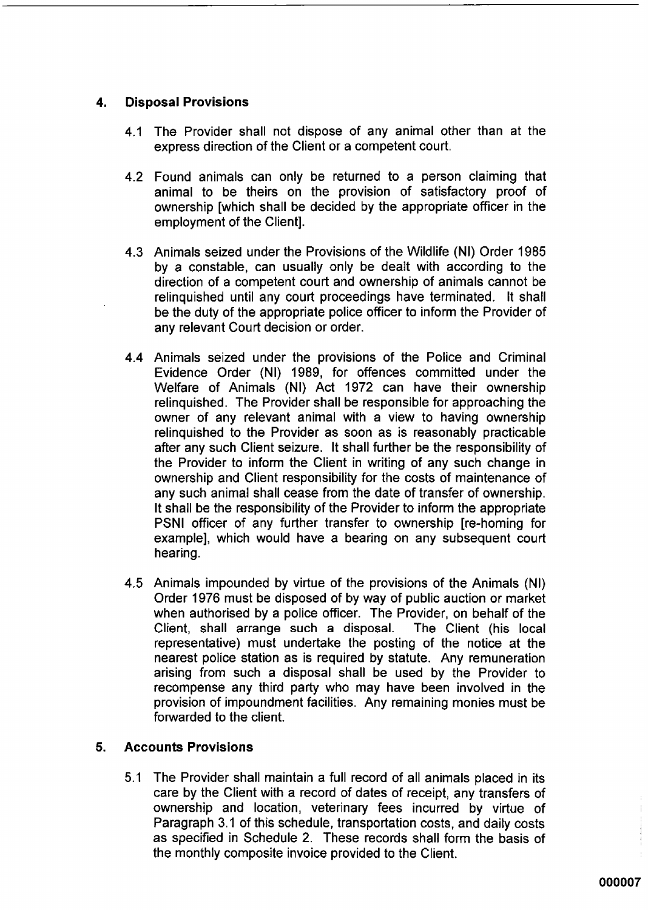#### $\overline{4}$ . **Disposal Provisions**

- 4.1 The Provider shall not dispose of any animal other than at the express direction of the Client or a competent court.
- 4.2 Found animals can only be returned to a person claiming that animal to be theirs on the provision of satisfactory proof of ownership [which shall be decided by the appropriate officer in the employment of the Client].
- 4.3 Animals seized under the Provisions of the Wildlife (NI) Order 1985 by a constable, can usually only be dealt with according to the direction of a competent court and ownership of animals cannot be relinguished until any court proceedings have terminated. It shall be the duty of the appropriate police officer to inform the Provider of any relevant Court decision or order.
- 4.4 Animals seized under the provisions of the Police and Criminal Evidence Order (NI) 1989, for offences committed under the Welfare of Animals (NI) Act 1972 can have their ownership relinguished. The Provider shall be responsible for approaching the owner of any relevant animal with a view to having ownership relinguished to the Provider as soon as is reasonably practicable after any such Client seizure. It shall further be the responsibility of the Provider to inform the Client in writing of any such change in ownership and Client responsibility for the costs of maintenance of any such animal shall cease from the date of transfer of ownership. It shall be the responsibility of the Provider to inform the appropriate PSNI officer of any further transfer to ownership [re-homing for example], which would have a bearing on any subsequent court hearing.
- 4.5 Animals impounded by virtue of the provisions of the Animals (NI) Order 1976 must be disposed of by way of public auction or market when authorised by a police officer. The Provider, on behalf of the Client, shall arrange such a disposal. The Client (his local representative) must undertake the posting of the notice at the nearest police station as is required by statute. Any remuneration arising from such a disposal shall be used by the Provider to recompense any third party who may have been involved in the provision of impoundment facilities. Any remaining monies must be forwarded to the client.

#### 5. **Accounts Provisions**

5.1 The Provider shall maintain a full record of all animals placed in its care by the Client with a record of dates of receipt, any transfers of ownership and location, veterinary fees incurred by virtue of Paragraph 3.1 of this schedule, transportation costs, and daily costs as specified in Schedule 2. These records shall form the basis of the monthly composite invoice provided to the Client.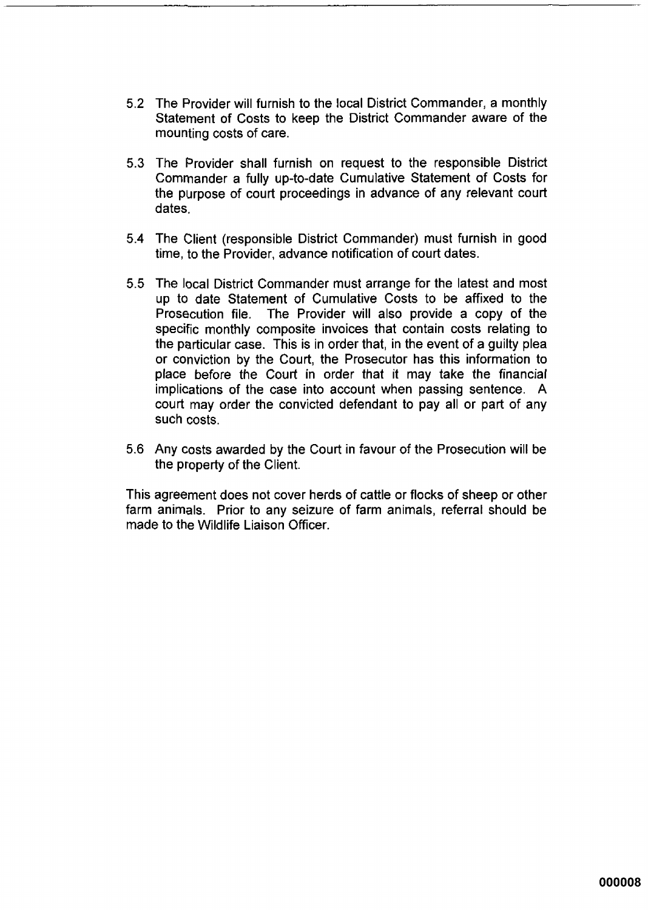- 5.2 The Provider will furnish to the local District Commander, a monthly Statement of Costs to keep the District Commander aware of the mounting costs of care.
- 5.3 The Provider shall furnish on request to the responsible District Commander a fully up-to-date Cumulative Statement of Costs for the purpose of court proceedings in advance of any relevant court dates.
- 5.4 The Client (responsible District Commander) must furnish in good time, to the Provider, advance notification of court dates.
- 5.5 The local District Commander must arrange for the latest and most up to date Statement of Cumulative Costs to be affixed to the Prosecution file. The Provider will also provide a copy of the specific monthly composite invoices that contain costs relating to the particular case. This is in order that, in the event of a guilty plea or conviction by the Court, the Prosecutor has this information to place before the Court in order that it may take the financial implications of the case into account when passing sentence. A court may order the convicted defendant to pay all or part of any such costs.
- 5.6 Any costs awarded by the Court in favour of the Prosecution will be the property of the Client.

This agreement does not cover herds of cattle or flocks of sheep or other farm animals. Prior to any seizure of farm animals, referral should be made to the Wildlife Liaison Officer.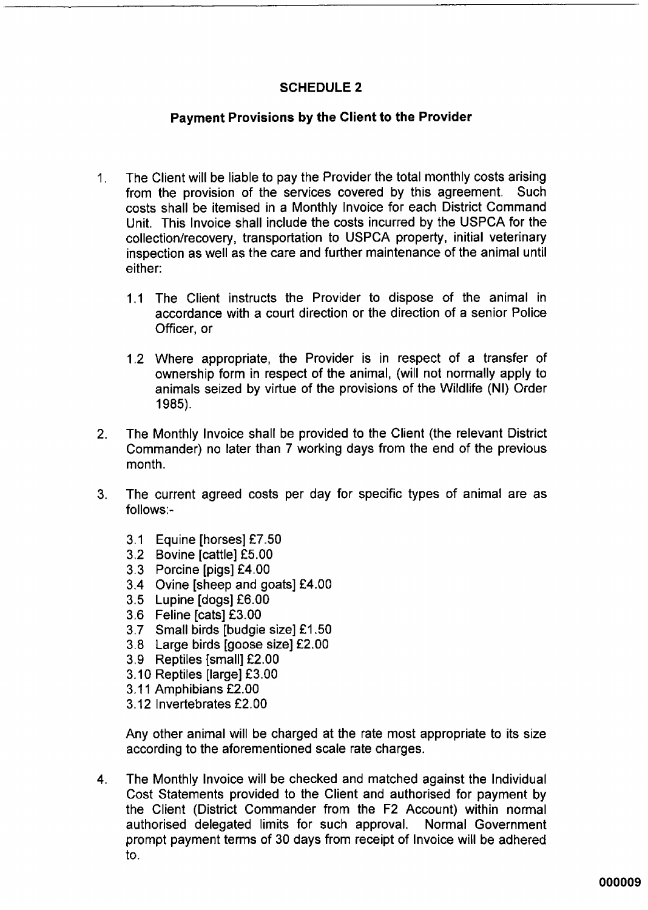### **SCHEDULE 2**

### **Payment Provisions by the Client to the Provider**

- The Client will be liable to pay the Provider the total monthly costs arising  $\mathbf 1$ from the provision of the services covered by this agreement. Such costs shall be itemised in a Monthly Invoice for each District Command Unit. This Invoice shall include the costs incurred by the USPCA for the collection/recovery, transportation to USPCA property, initial veterinary inspection as well as the care and further maintenance of the animal until either:
	- 1.1 The Client instructs the Provider to dispose of the animal in accordance with a court direction or the direction of a senior Police Officer, or
	- 1.2 Where appropriate, the Provider is in respect of a transfer of ownership form in respect of the animal, (will not normally apply to animals seized by virtue of the provisions of the Wildlife (NI) Order 1985).
- The Monthly Invoice shall be provided to the Client (the relevant District  $2<sub>1</sub>$ Commander) no later than 7 working days from the end of the previous month.
- The current agreed costs per day for specific types of animal are as  $3<sub>l</sub>$ follows:-
	- 3.1 Equine [horses] £7.50
	- 3.2 Bovine [cattle] £5.00
	- 3.3 Porcine [pigs] £4.00
	- 3.4 Ovine [sheep and goats] £4.00
	- 3.5 Lupine [dogs] £6.00
	- 3.6 Feline [cats] £3.00
	- 3.7 Small birds [budgie size] £1.50
	- 3.8 Large birds [goose size] £2.00
	- 3.9 Reptiles [small] £2.00
	- 3.10 Reptiles [large] £3.00
	- 3.11 Amphibians £2.00
	- 3.12 Invertebrates £2.00

Any other animal will be charged at the rate most appropriate to its size according to the aforementioned scale rate charges.

 $4.$ The Monthly Invoice will be checked and matched against the Individual Cost Statements provided to the Client and authorised for payment by the Client (District Commander from the F2 Account) within normal authorised delegated limits for such approval. Normal Government prompt payment terms of 30 days from receipt of Invoice will be adhered to.